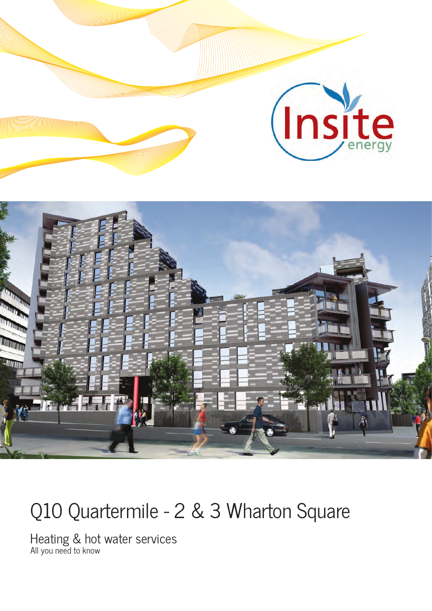

# Q10 Quartermile - 2 & 3 Wharton Square

Heating & hot water services All you need to know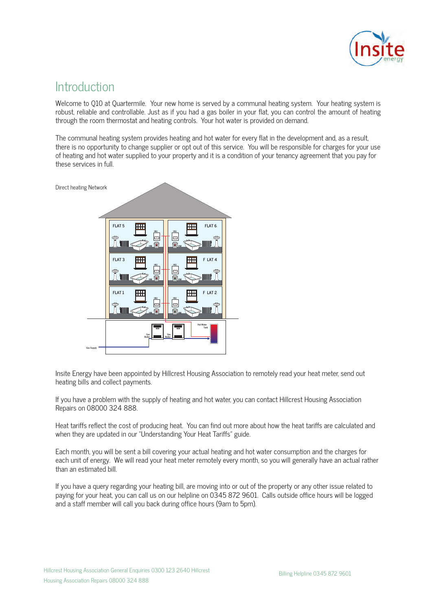

#### **Introduction**

Welcome to Q10 at Quartermile. Your new home is served by a communal heating system. Your heating system is robust, reliable and controllable. Just as if you had a gas boiler in your flat, you can control the amount of heating through the room thermostat and heating controls. Your hot water is provided on demand.

The communal heating system provides heating and hot water for every flat in the development and, as a result, there is no opportunity to change supplier or opt out of this service. You will be responsible for charges for your use of heating and hot water supplied to your property and it is a condition of your tenancy agreement that you pay for these services in full.



Insite Energy have been appointed by Hillcrest Housing Association to remotely read your heat meter, send out heating bills and collect payments.

If you have a problem with the supply of heating and hot water, you can contact Hillcrest Housing Association Repairs on 08000 324 888.

Heat tariffs reflect the cost of producing heat. You can find out more about how the heat tariffs are calculated and when they are updated in our "Understanding Your Heat Tariffs" guide.

Each month, you will be sent a bill covering your actual heating and hot water consumption and the charges for each unit of energy. We will read your heat meter remotely every month, so you will generally have an actual rather than an estimated bill.

If you have a query regarding your heating bill, are moving into or out of the property or any other issue related to paying for your heat, you can call us on our helpline on 0345 872 9601. Calls outside office hours will be logged and a staff member will call you back during office hours (9am to 5pm).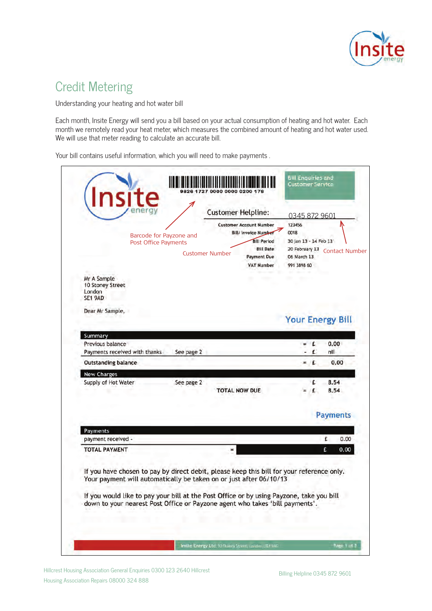

## Credit Metering

Understanding your heating and hot water bill

Each month, Insite Energy will send you a bill based on your actual consumption of heating and hot water. Each month we remotely read your heat meter, which measures the combined amount of heating and hot water used. We will use that meter reading to calculate an accurate bill.

Your bill contains useful information, which you will need to make payments .

|                                                                                                                                                                 | Barcode for Payzone and<br>Post Office Payments |            | <b>Customer Helpline:</b><br><b>Customer Number</b> | <b>Customer Account Number</b><br><b>Bill/ Invoice Number</b><br><b>Bill Period</b><br><b>Bill Date</b><br><b>Payment Due</b><br><b>VAT Number</b> | 0345 872 9601<br>123456<br>0018<br>30 Jan 13 - 14 Feb 13<br>20 February 13<br>06 March 13<br>991 3898 60 |                | <b>Contact Number</b>   |
|-----------------------------------------------------------------------------------------------------------------------------------------------------------------|-------------------------------------------------|------------|-----------------------------------------------------|----------------------------------------------------------------------------------------------------------------------------------------------------|----------------------------------------------------------------------------------------------------------|----------------|-------------------------|
| Mr A Sample<br>10 Stoney Street<br>London<br>SE1 9AD                                                                                                            |                                                 |            |                                                     |                                                                                                                                                    |                                                                                                          |                |                         |
| Dear Mr Sample,                                                                                                                                                 |                                                 |            |                                                     |                                                                                                                                                    |                                                                                                          |                | <b>Your Energy Bill</b> |
| Summary                                                                                                                                                         |                                                 |            |                                                     |                                                                                                                                                    |                                                                                                          |                |                         |
| Previous balance                                                                                                                                                |                                                 |            |                                                     |                                                                                                                                                    |                                                                                                          | $\overline{1}$ | 0,00                    |
| Payments received with thanks                                                                                                                                   |                                                 | See page 2 |                                                     |                                                                                                                                                    |                                                                                                          | £              | nil                     |
| <b>Outstanding balance</b>                                                                                                                                      |                                                 |            |                                                     |                                                                                                                                                    |                                                                                                          | $=$ $E$        | 0.00                    |
| <b>New Charges</b><br>Supply of Hot Water                                                                                                                       |                                                 | See page 2 |                                                     |                                                                                                                                                    |                                                                                                          | £              | 8.54                    |
|                                                                                                                                                                 |                                                 |            |                                                     | <b>TOTAL NOW DUE</b>                                                                                                                               |                                                                                                          | £              | 8.54                    |
|                                                                                                                                                                 |                                                 |            |                                                     |                                                                                                                                                    |                                                                                                          |                | <b>Payments</b>         |
| Payments                                                                                                                                                        |                                                 |            |                                                     |                                                                                                                                                    |                                                                                                          |                |                         |
| payment received -                                                                                                                                              |                                                 |            |                                                     |                                                                                                                                                    |                                                                                                          |                | £.<br>0.00              |
| TOTAL PAYMENT                                                                                                                                                   |                                                 |            |                                                     |                                                                                                                                                    |                                                                                                          |                | 0.00<br>£               |
| If you have chosen to pay by direct debit, please keep this bill for your reference only.<br>Your payment will automatically be taken on or just after 06/10/13 |                                                 |            |                                                     |                                                                                                                                                    |                                                                                                          |                |                         |
| If you would like to pay your bill at the Post Office or by using Payzone, take you bill                                                                        |                                                 |            |                                                     | down to your nearest Post Office or Payzone agent who takes 'bill payments'.                                                                       |                                                                                                          |                |                         |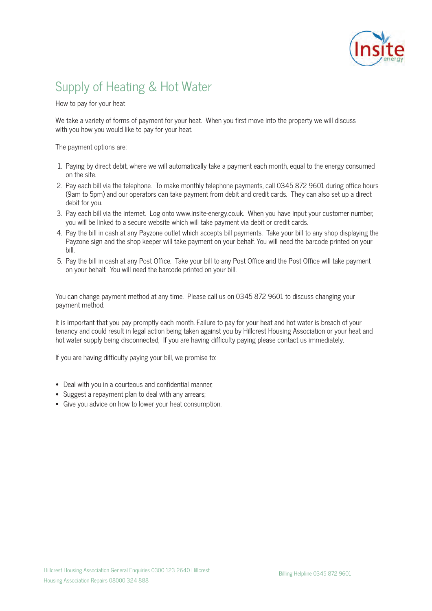

# Supply of Heating & Hot Water

How to pay for your heat

We take a variety of forms of payment for your heat. When you first move into the property we will discuss with you how you would like to pay for your heat.

The payment options are:

- 1. Paying by direct debit, where we will automatically take a payment each month, equal to the energy consumed on the site.
- 2. Pay each bill via the telephone. To make monthly telephone payments, call 0345 872 9601 during office hours (9am to 5pm) and our operators can take payment from debit and credit cards. They can also set up a direct debit for you.
- 3. Pay each bill via the internet. Log onto www.insite-energy.co.uk. When you have input your customer number, you will be linked to a secure website which will take payment via debit or credit cards.
- 4. Pay the bill in cash at any Payzone outlet which accepts bill payments. Take your bill to any shop displaying the Payzone sign and the shop keeper will take payment on your behalf. You will need the barcode printed on your bill.
- 5. Pay the bill in cash at any Post Office. Take your bill to any Post Office and the Post Office will take payment on your behalf. You will need the barcode printed on your bill.

You can change payment method at any time. Please call us on 0345 872 9601 to discuss changing your payment method.

It is important that you pay promptly each month. Failure to pay for your heat and hot water is breach of your tenancy and could result in legal action being taken against you by Hillcrest Housing Association or your heat and hot water supply being disconnected, If you are having difficulty paying please contact us immediately.

If you are having difficulty paying your bill, we promise to:

- Deal with you in a courteous and confidential manner;
- Suggest a repayment plan to deal with any arrears;
- Give you advice on how to lower your heat consumption.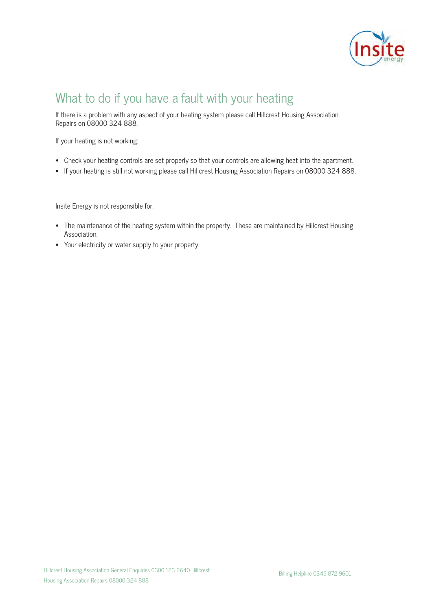

### What to do if you have a fault with your heating

If there is a problem with any aspect of your heating system please call Hillcrest Housing Association Repairs on 08000 324 888.

If your heating is not working:

- Check your heating controls are set properly so that your controls are allowing heat into the apartment.
- If your heating is still not working please call Hillcrest Housing Association Repairs on 08000 324 888.

Insite Energy is not responsible for:

- The maintenance of the heating system within the property. These are maintained by Hillcrest Housing Association.
- Your electricity or water supply to your property.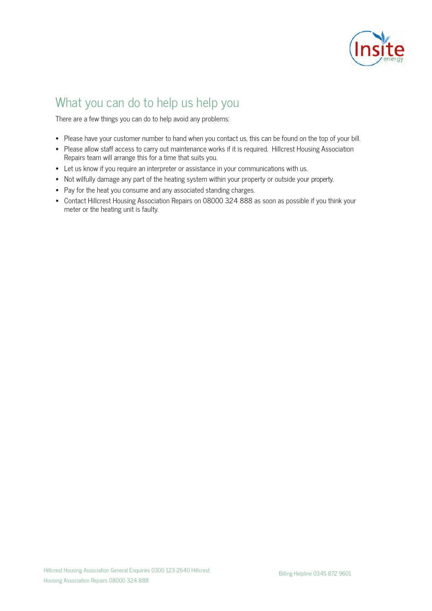

# What you can do to help us help you

There are a few things you can do to help avoid any problems:

- Please have your customer number to hand when you contact us, this can be found on the top of your bill.
- Please allow staff access to carry out maintenance works if it is required. Hillcrest Housing Association Repairs team will arrange this for a time that suits you.
- Let us know if you require an interpreter or assistance in your communications with us.
- Not wilfully damage any part of the heating system within your property or outside your property.
- Pay for the heat you consume and any associated standing charges.
- Contact Hillcrest Housing Association Repairs on 08000 324 888 as soon as possible if you think your meter or the heating unit is faulty.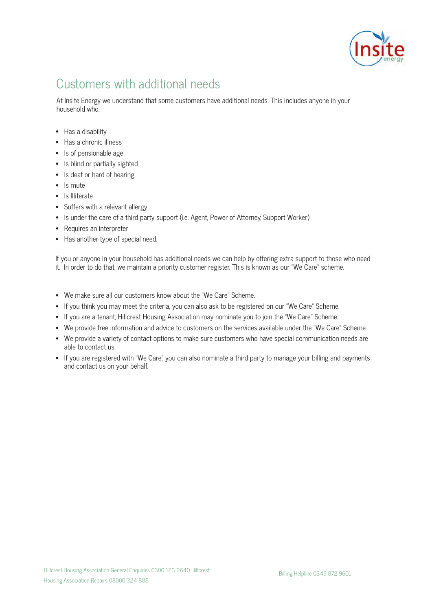

# Customers with additional needs

At Insite Energy we understand that some customers have additional needs. This includes anyone in your household who:

- Has a disability
- Has a chronic illness
- Is of pensionable age
- Is blind or partially sighted
- Is deaf or hard of hearing
- Is mute
- Is Illiterate
- Suffers with a relevant allergy
- Is under the care of a third party support (i.e. Agent, Power of Attorney, Support Worker)
- Requires an interpreter
- Has another type of special need.

If you or anyone in your household has additional needs we can help by offering extra support to those who need it. In order to do that, we maintain a priority customer register. This is known as our "We Care" scheme.

- We make sure all our customers know about the "We Care" Scheme.
- If you think you may meet the criteria, you can also ask to be registered on our "We Care" Scheme.
- If you are a tenant, Hillcrest Housing Association may nominate you to join the "We Care" Scheme.
- We provide free information and advice to customers on the services available under the "We Care" Scheme.
- We provide a variety of contact options to make sure customers who have special communication needs are able to contact us.
- If you are registered with "We Care", you can also nominate a third party to manage your billing and payments and contact us on your behalf.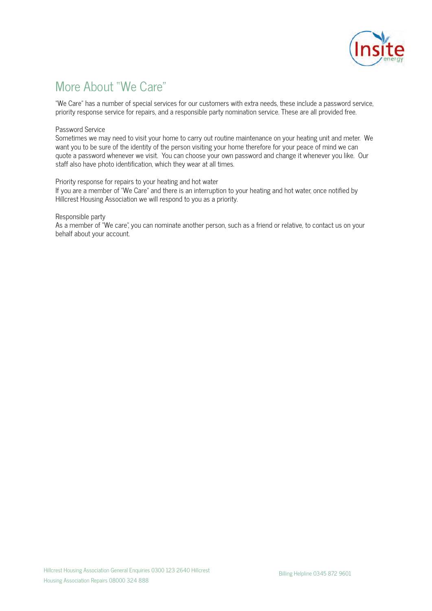

# More About "We Care"

"We Care" has a number of special services for our customers with extra needs, these include a password service, priority response service for repairs, and a responsible party nomination service. These are all provided free.

#### Password Service

Sometimes we may need to visit your home to carry out routine maintenance on your heating unit and meter. We want you to be sure of the identity of the person visiting your home therefore for your peace of mind we can quote a password whenever we visit. You can choose your own password and change it whenever you like. Our staff also have photo identification, which they wear at all times.

#### Priority response for repairs to your heating and hot water

If you are a member of "We Care" and there is an interruption to your heating and hot water, once notified by Hillcrest Housing Association we will respond to you as a priority.

#### Responsible party

As a member of "We care", you can nominate another person, such as a friend or relative, to contact us on your behalf about your account.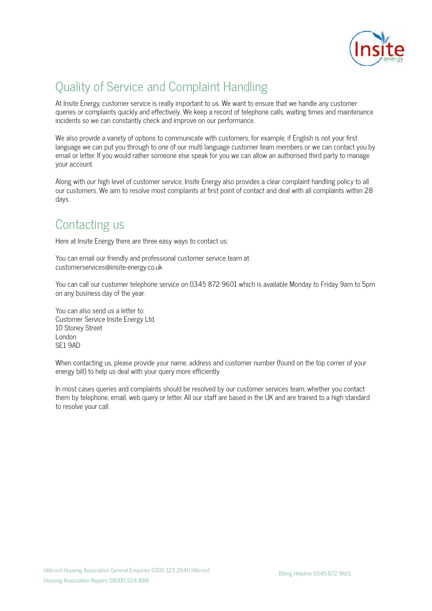

# Quality of Service and Complaint Handling

At Insite Energy, customer service is really important to us. We want to ensure that we handle any customer queries or complaints quickly and effectively. We keep a record of telephone calls, waiting times and maintenance incidents so we can constantly check and improve on our performance.

We also provide a variety of options to communicate with customers, for example, if English is not your first language we can put you through to one of our multi language customer team members or we can contact you by email or letter. If you would rather someone else speak for you we can allow an authorised third party to manage your account.

Along with our high level of customer service, Insite Energy also provides a clear complaint handling policy to all our customers. We aim to resolve most complaints at first point of contact and deal with all complaints within 28 days.

### Contacting us

Here at Insite Energy there are three easy ways to contact us:

You can email our friendly and professional customer service team at customerservices@insite-energy.co.uk

You can call our customer telephone service on 0345 872 9601 which is available Monday to Friday 9am to 5pm on any business day of the year.

You can also send us a letter to: Customer Service Insite Energy Ltd 10 Stoney Street London SE1 9AD

When contacting us, please provide your name, address and customer number (found on the top corner of your energy bill) to help us deal with your query more efficiently.

In most cases queries and complaints should be resolved by our customer services team, whether you contact them by telephone, email, web query or letter. All our staff are based in the UK and are trained to a high standard to resolve your call.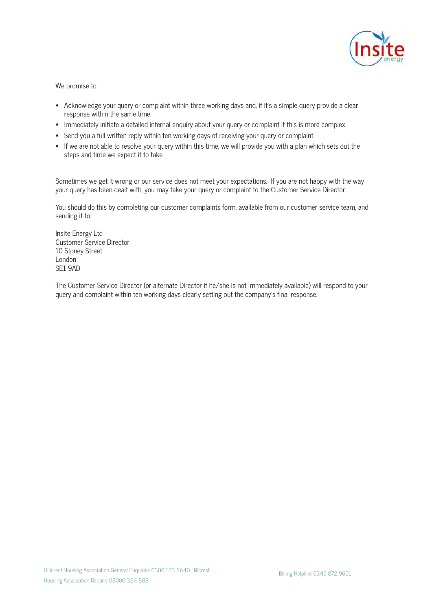

We promise to:

- Acknowledge your query or complaint within three working days and, if it's a simple query provide a clear response within the same time.
- Immediately initiate a detailed internal enquiry about your query or complaint if this is more complex.
- Send you a full written reply within ten working days of receiving your query or complaint.
- If we are not able to resolve your query within this time, we will provide you with a plan which sets out the steps and time we expect it to take.

Sometimes we get it wrong or our service does not meet your expectations. If you are not happy with the way your query has been dealt with, you may take your query or complaint to the Customer Service Director.

You should do this by completing our customer complaints form, available from our customer service team, and sending it to:

Insite Energy Ltd Customer Service Director 10 Stoney Street London SE1 9AD

The Customer Service Director (or alternate Director if he/she is not immediately available) will respond to your query and complaint within ten working days clearly setting out the company's final response.